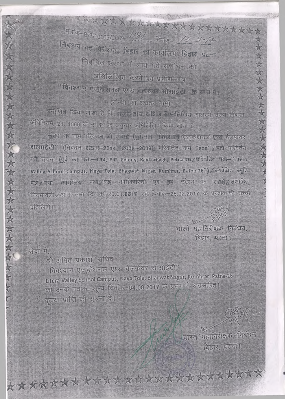TAXXXXXXXXXXXXXXXXXXXXX पत्रांक-Bs3-10105/2009-1181 दिनाक- 15-9-17 निबंधन मह जिरीक्षक, बिहार का कार्यालय बिहार प्रल्ना निवासत संस्था में लाये गये सशोधन को अभिलिपित करने का प्रमाण-पत्र विवश्वान एत् केशनत एण्ड वैलफेयर सोसाईटी के सबन में। (संस्था का अवतन नाम)

एमाणित किया जाता है कि संस्था द्वारा दाक्षित्व निम्नलिखित आलेख्य संस्था निवेधन अधिनियम, 21, 1860 के उपवंध के समुलार अभिकित्रित किया जाता है।

सल्या के नाम परिवाल को मुखन-(पूर्व नाम प्रविवश्वानी एजुलैशनल एण्ड बेलफेयर सोल्साई डो (निवधन संख r-2214 / 2008-2009), परिवर्तित नाम "xxx" / फ्ला परिवर्तन की राचना (पूर्व का पता-B-14, P.C. Colony, Kankarbagh, Patna-20 / पार्श्वतिज्ञ पता- 'Litera' Walley School Campus, Naya Tola, Bhagwat Nagar, Kumhrar, Patna-26") / xiEllud xyd पत्र प्रथा कार्योलय पता नई महाकारिणी एवं तए उदेश्य के साथ) सशोधित नियमावली/आम सभा दि क-20.01.2017 एवं दिनांक-25.02.2017 के प्रस्ताव की सच्ची प्रतिलिपि।

> বাস্তব মহাজিৎাক্ষর, লিব্স্বল बिहार, पठज़ा।

सेवा में,

女次女女女女女女女女女女女女女女女女女女女女

श्री अभित प्रकाश, सचिव "विवश्वान एजुरुहेशनल एण्ड वेलफेयर सोसाईटी" Litera Valley School Campus, Naya Tola, Bhagwat Nagar, Kumhrar, Patna-26 को उनके पत्रांक-१ न्यू दिनाक-04.08.2017 के प्रसंग में अग्रसारित। कृपया प्राप्ति की सूचना दें।

\*\*\*\*\*\*\*\*\*\*\*\*\*\*\*\*\*\*\*\*\*\*\*\*\*\*

वास्ते महानिरीक्षक, निबंधन, दिहार, पटना।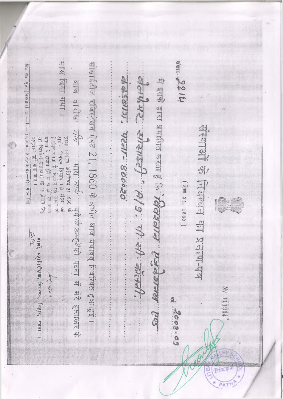साथ दिया गया।  $413214$ सोसाइंटीज रजिस्ट्रेशन ऐक्ट 21, 1860 के अधीन आज यथावत् निर्बन्धित हुआहुई। Fio He Ho (IRWFEH) 1  $-\frac{3}{2}$  and the substitution of the state of the state of the state of the state of the state of the state of the state of the state of the state of the state of the state of the state of the state of the state of the s George Heph Killes sad. exte e e e a mens seul de la seul de la composition de la आज तारीख<sup>: 7/67</sub>- - मास सार कार्य वर्षे*खे उज्ज्य के* को पदना में मेरे हसाक्षर के<br>चिंगा गगर। संख संखन औरनियन-21,1860 के</sup> संधायों के निबन्धन का प्रमाण-पत्र अधीन निबंधन बिशान पात गरिया या<br>चित्रेशन देशता है। निरोशा यते हो जा गान्ति<br>चार्साव में आर्थात होते या या होने का गान्ति<br>या चित्रतीय सहायता को गुल्गाचा हेतु 14,000-23-9-2004-41. 97. 182 । प्राप्त प्रतान क्षेत्र महान् व (ऐस 21, 1860) गास्ते, महानिरोक्षक, नियन्थन, बिहार, पदना Arger Nº 011334 2008-09  $\hat{\theta}$ Principa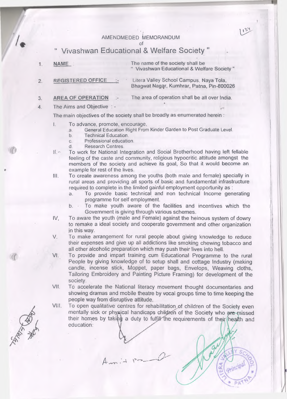## AMENDMEDED MEMORANDUM

 $U^{3,1}$ 

## " Vivashwan Educational & Welfare Society "

- The name of the society shall be 1. NAME " Vivashwan Educational & Welfare Society "
- REGISTERED OFFICE Litera Valley School Campus. Naya Tola,  $\overline{2}$ . Bhagwat Nagar, Kumhrar, Patna, Pin-800026
- 3. AREA OF OPERATION The area of operation shall be all over India.

#### 4. The Aims and Objective : -

The main objectives of the society shall be broadly as enumerated herein :

- I. To advance, promote, encourage,
	- a. General Education Right From Kinder Garden to Post Graduate Level.
	- b. Technical Education.
	- c. Professional education.<br>d. Research Centres
	- Research Centres.
- II. To work for National Integration and Social Brotherhood having left fellable feeling of the caste and community, religious hypocritic. attitude amongst the members of the society and achieve its goal, So that it would become an example for rest of the lives.

III. To create awareness among the youths (both male and female) specially in rural areas and providing all sports of basic and fundamental infrastructure required to complete in the limited gainful employment opportunity as :

- a. To provide basic technical and non technical Income generating programme for self employment.
- b. To make youth aware of the facilities and incentives which the Government is giving through various schemes.
- IV. To aware the youth (male and Female) against the heinous system of dowry to remake a ideal society and cooperate government and other organization in this way.
- V. To make arrangement for rural people about giving knowledge to reduce their expenses and give up all addictions like smoking chewing tobacco and all other alcoholic preparation which may push their lives into hell.
- VI. To provide and impart training cum Educational Programme to the rural People by giving knowledge of to setup shall and cottage Industry (making candle, incense stick, Moppet, paper bags, Envelops, Weaving cloths, Tailoring Embroidery and Painting Picture Framing) for development of the society.
- VII. To accelerate the National literacy movement thought documentaries and showing dramas and mobile theatre by vocal groups time to time keeping the people way from disruptive attitude.
- VIII. To open qualitative centres for rehabilitation of children of the Society even mentally sick or physical handicaps children of the Society who are missed their homes by taking a duty to fulfill the requirements of their health and education:

A.  $\bigtriangleup$  $\sim$ 

网络海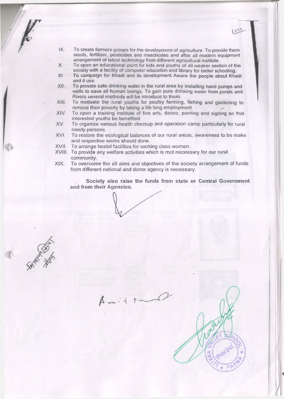- IX. To create farmers groups for the development of agriculture. To provide them seeds, fertilizer, pesticides and insecticides and after all modern equipment arrangement of latest technology from different agricultural institute.
- X. To open an educational point for kids and youths of all weaker section of the society with a facility of computer education and library for better schooling.
- XI To campaign for Khadi and its development Aware the people about Khadi and it use.
- XII. To provide safe drinking water in the rural area by installing hand pumps and wells to save all human beings. To gain pure drinking water from ponds and Rivers several methods will be introduce to them.
- XIII. To motivate the rural youths for poultry farming, fishing and gardening to remove their poverty by taking a life long employment.
- XIV To open a training institute of fine arts, dance, panting and signing so that interested youths be benefited.
- XV. To organize various health checkup and operation camp particularly for rural needy persons.
- XVI. To restore the ecological balances of our rural areas, awareness to be make and respective works should done.
- XVII. To arrange hostel facilities for working class women.
- XVIII To provide any welfare activities which is mot necessary for our rural community.
- **XIX.** To overcome the all aims and objectives of the society arrangement of funds from different national and donor agency is necessary.

Society also raise the funds from state or Central Government and from their Agencies.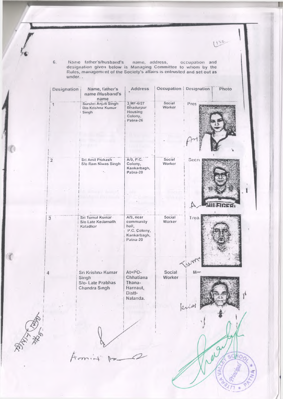6. Name father's/husband's name, address, occupation and designation given below is Managing Committee to whom by the Rules, management of the Society's altairs is entrusted and set out as under...

 $133$ 

 $217+$ 

| Designation             | Name, father's<br>name /Husband's<br>name                        | <b>Address</b>                                                             |                  | <b>Occupation   Designation</b><br>Photo |
|-------------------------|------------------------------------------------------------------|----------------------------------------------------------------------------|------------------|------------------------------------------|
| 1                       | Surshri Anjali Singh<br>Dlo Krishna Kumar<br>Singh               | 3 MF-6/27<br>Bhadurpur<br>Housing<br>Colony,<br>Patna-26                   | Social<br>Worker | Pres                                     |
| $\overline{\mathbf{2}}$ | Sri Amit Prakash<br>S/o Ram Niwas Singh                          | A/9, P.C.<br>Colony,<br>Kankarbagh,<br>Patna-20                            | Social<br>Worker | Secre                                    |
|                         |                                                                  |                                                                            |                  |                                          |
| $\overline{3}$          | Sri Tumul Kumar<br>S/o Late Kedarnath<br>Kaladhar                | A/9, near<br>community<br>hall,<br>P.C. Colony,<br>Kankarbagh,<br>Patna-20 | Social<br>Worker | Trea.                                    |
|                         |                                                                  |                                                                            |                  | (NM                                      |
| 4                       | Sri Krishna Kumar<br>Singh<br>S/o- Late Prabhas<br>Chandra Singh | At+PO-<br>Chhatiana<br>Thana-<br>Harnaut,<br>Distt-<br>Nalanda.            | Social<br>Worker | Mor                                      |
|                         |                                                                  |                                                                            |                  |                                          |
|                         |                                                                  |                                                                            |                  |                                          |
|                         |                                                                  |                                                                            |                  |                                          |

a

**RATION RATE**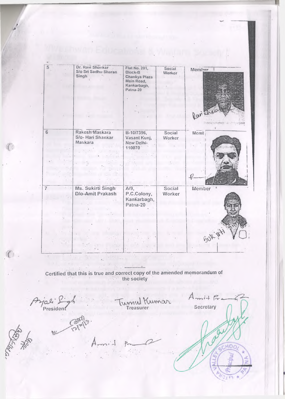| $\overline{5}$ | Dr. Ravi Shankar     | Flat No. 201,           |                  |         |
|----------------|----------------------|-------------------------|------------------|---------|
|                | S/o Sri Sadhu Sharan | Block-B                 | Social<br>Worker | Member  |
|                | Singh                | Chankya Plaza           |                  |         |
|                |                      | Main Road,              |                  |         |
|                |                      | Kankarbagh,<br>Palna-20 |                  |         |
|                |                      |                         |                  |         |
|                |                      |                         |                  |         |
|                |                      |                         |                  |         |
|                |                      |                         |                  |         |
|                |                      |                         |                  | Paritie |
|                |                      |                         |                  |         |
|                |                      |                         |                  |         |
| 6              | Rakesh Maskara       | B-10/7396,              | Social           | Memt    |
|                | S/o- Hari Shankar    | Vasant Kunj,            | Worker           |         |
|                | Maskara              | New Delhi-              |                  |         |
|                |                      | 110070                  |                  |         |
|                |                      |                         |                  |         |
|                |                      |                         |                  |         |
|                |                      |                         |                  |         |
|                |                      |                         |                  |         |
|                |                      |                         |                  |         |
|                |                      |                         |                  |         |
| $\overline{7}$ | Ms. Sukirti Singh    | $A/9$ ,                 | Social           | Member  |
|                | D/o-Amit Prakash     | P.C.Colony,             | Worker           |         |
|                |                      | Kankarbagh,             |                  |         |
|                |                      | Patna-20                |                  |         |
|                |                      |                         |                  |         |
|                |                      |                         |                  |         |
|                |                      |                         |                  |         |
|                |                      |                         |                  |         |
|                |                      |                         |                  | BUK !   |
|                |                      |                         |                  |         |
|                |                      |                         |                  |         |
|                |                      |                         |                  |         |

Certified that this is true and correct copy of the amended memorandum of the society

 $\mathcal{A}$ 

1. . . . . . . . .

한번 없이

à.

 $A_{mit}$  fre Arjali S.<br>President Treasurer Secretary Folded

**DERIVER** 

 $\mathbb{C}$ .

*( ( <*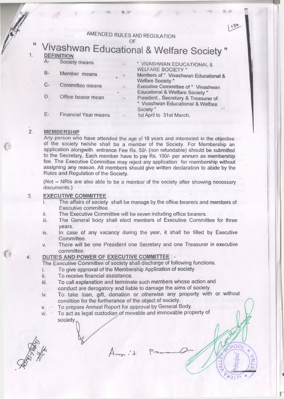# AMENDED RULES AND REGULATION

 $\cup$ r

# DEFINITION **DEFINITION**

Society means

ū

 $\mathbf{1}$ 

- B- Member means
- C- Committee means
- D. Office bearer mean

E- Financial Year means

" VIVASHWAN EDUCATIONAL & WELFARE SOCIETY "

Members of " Vivashwan Educational & Welfare Society "

130

Executive Committee of " Vivashwan Educational & Welfare Society " President, Secretary & Treasurer of " Vivashwan Educational & Welfare Society" *r '*

1st April to 31st March,

#### $\overline{2}$ MEMBERSHIP

Any person who have attended the age of 18 years and interested in the objective of the society he/she shall be a member of the Society. For Membership an application alongwith entrance Fee Rs. 50/- (non refundable) should be submitted to the Secretary, Each member have to pay Rs. 100/- per annum as membership fee. The Executive Committee may reject any application for membership without assigning any reason. All members should give written declaration to abide by the Rules and Regulation of the Society.

(Not - NRIs are also able to be a member of the society after showing necessary documents.)

#### 3. EXECUTIVE COMMITTEE :

- The affairs of society shall be manage by the office bearers and members of Executive committee.
- ii. The Executive Committee will be seven including office bearers.
- iii. The General body shall elect members of Executive Committee for three years.
- iv. In case of any vacancy during the year, it shall be filled by Executive Committee.
- v. There will be one President one Secretary and one Treasurer in executive committee.

### DUTIES AND POWER OF EXECUTIVE COMMITTEE : -

The Executive Committee of society shall discharge of following functions.

- i. To give approval of the Membership Application of society.
- ii. To receive financial assistance.
- iii. To call explanation and terminate such members whose action and conduct are derogatory and liable to damage the aims of society.
- iv. To take loan, gift, donation or otherwise any property with or without condition for the furtherance of the object of society.
- v. **To prepare Annual Report for approval by General Body.**
- vi. To act as legal custodian.of movable and immovable property ofsociety.

Reminder

 $\overline{4}$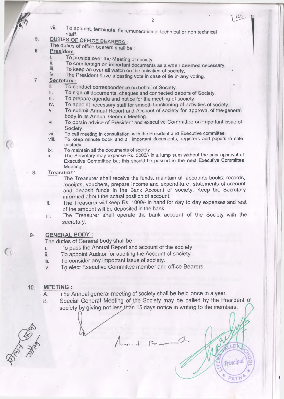$123$ 

To appoint, terminate, fix remuneration of technical or non technical vii.

## DUTIES OF OFFICE BEARERS :

The duties of office bearers shall be

#### 6 **President**

5.

7

- To preside over the Meeting of society. i.
- ii. To countersign on important documents as a when deemed necessary.
- iii. To keep an over all watch on the activities of society.<br>iv. The President have a casting yote in case of tip in an
- The President have a casting vote in case of tie in any voting.

## Secretary :

- To conduct correspondence on behalf of Society.
- ii. To sign all documents, cheques and connected papers of Society.<br>iii. To prepare agenda and notice for the meeting of society
- iii. To prepare agenda and notice for the meeting of society.<br>iv. To appoint pecessary staff for smooth functioning of activ
- To appoint necessary staff for smooth functioning of activities of society.
- v. To submit Annual Report and Account of society for approval of the-general body in its Annual General Meeting.
- vi. To obtain advice of President and executive Committee on important issue of Society.
- vii. To call meeting in consultation with the President and Executive committee.
- viii. To keep minute book and all important documents, registers and papers in safe custody.
- ix. To maintain all the documents of society.
- x. The Secretary may expense Rs. 5000/- in a lump sum without the prior approval of Executive Committee but this should be passed in the next Executive Committee Meeting.

#### $8-$ Treasurer:

- The Treasurer shall receive the funds, maintain all accounts books, records, receipts, vouchers, prepare Income and expenditure, statements of account and deposit funds in the Bank Account of society. Keep the Secretary informed about the actual position of account.
- ii. The Treasurer will keep Rs. 1000/- in hand for day to day expenses and rest of the amount will be deposited in the bank.
- iii. The Treasurer shall operate the bank account of the Society with the secretary.

#### GENERAL BODY :  $9-$

The duties of General body shall be :

- To pass the Annual Report and account of the society. i.
- i. To appoint Auditor for auditing the Account of society.
- ii. To consider any important issue of society.
- v. To elect Executive Committee member and office Bearers.

#### MEETING ;  $10.$

- A. The Annual general meeting of society shall be held once in a year.
- B. Special General Meeting of the Society may be called by the President o' society by giving not less than 15 days notice in writing to the members.

**BATAINS** 

Principal

 $PAT$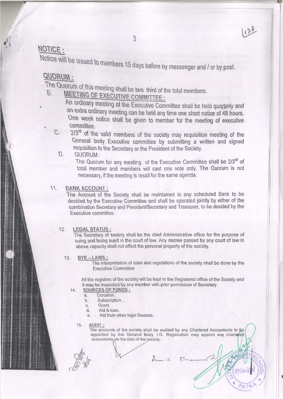## NOTICE :

Notice will be issued to members 15 days before by messenger and / or by post.

## QUORUM :

The Quorum of this meeting shall be two third of the total members.

# **MEETING OF EXECUTIVE COMMITTEE :**

An ordinary meeting of the Executive Committee shall be held quarterly and **an extra ordinary meeting can be held any time one short notice of 48 hours. One week notice shall be given to member for the meeting of executive committee.**

C. *21?)* of the valid members of the society may requisition meeting of the General body Executive committee by submitting a written and signed requisition to the Secretary or the President of the Society.

## D. QUORUM'.

The Quorum for any meeting of the Executive Committee shall be 2/3<sup>rd</sup> of total member and members will cast one vote only. The Quorum is not necessary, if the meeting is recall for the same agenda.

## 11. BANK ACCOUNT:

The Account of the Society shall be maintained in any scheduled Bank to be decided by the Executive Committee and shall be operated jointly by either of the combination Secretary and President/Secretary and Treasurer, to be decided by the Executive committee.

### 12. LEGAL STATUS :

The Secretary of society shall be the chief Administrative office for the purpose of suing and being sued in the court of law. Any decree passed by any court of law in above capacity shall not effect the personal property of the society.

 $13.$  BYE-LAWS:

The interpretation of rules and regulations of the society shall be done by the Executive Committee

All the registers of the society will be kept in the Registered office of the Society and it may be inspected by any member with prior permission of Secretary.

### 14. SOURCES OF FUNDS:

- a. Donation.
- b. Subscription..
- c. Grant.
- d. Aid & loan.
- e. Aid from other legal Sources.

### 15. AUDIT

The accounts of the society shall be audited by any Chartered Accountants to be appointed by this General Body. I.G. Registration may appoint any chartered accountants on the cost of the society.

 $A$ <sub>-</sub> $\ldots$   $\vdots$   $\vdots$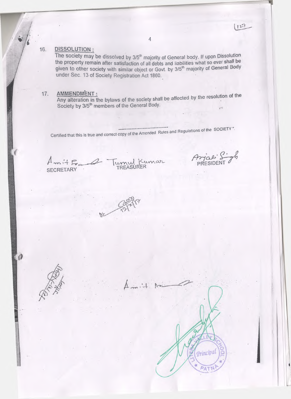**4**

## 16. DISSOLUTION:

The society may be dissolved by  $3/5$ <sup>th</sup> majority of General body. If upon Dissolution the property remain after satisfaction of all debts and liabilities what so ever shall be given to other society with similar object or Govt. by 3/5<sup>th</sup> majority of General Body under Sec. 13 of Society Registration Act 1860.

## 17. AMMENDMENT:

Any alteration in the bylaws of the society shall be affected by the resolution of Society by 3/5"' members of the General Body.

Certified that this is true and correct copy of the Amended Rules and Regulations of the SOCIETY".

 $m+F_{\alpha-}$   $\omega$  |v SECRETARY TREASURER PRESIDENT AND TREASURER

Principal

 $127$ 



 $\boldsymbol{\theta}$